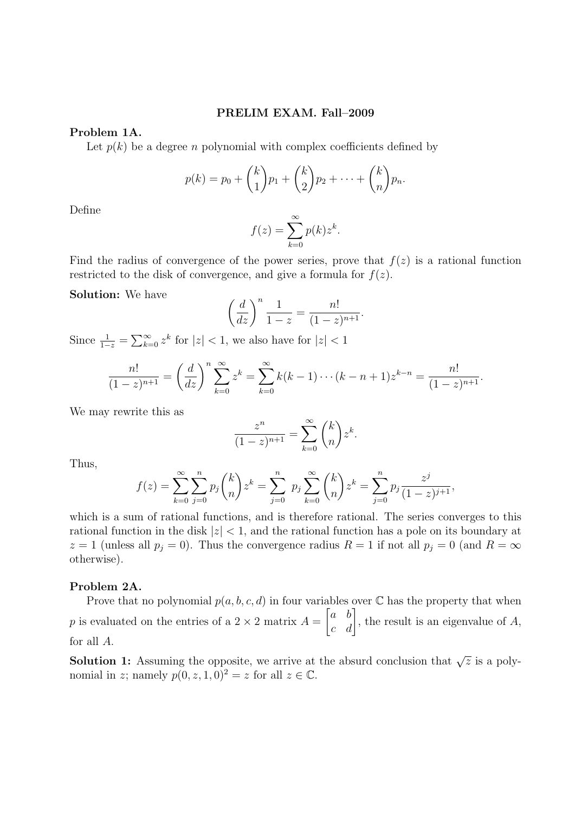### PRELIM EXAM. Fall–2009

## Problem 1A.

Let  $p(k)$  be a degree n polynomial with complex coefficients defined by

$$
p(k) = p_0 + {k \choose 1} p_1 + {k \choose 2} p_2 + \cdots + {k \choose n} p_n.
$$

Define

$$
f(z) = \sum_{k=0}^{\infty} p(k) z^k.
$$

Find the radius of convergence of the power series, prove that  $f(z)$  is a rational function restricted to the disk of convergence, and give a formula for  $f(z)$ .

### Solution: We have

$$
\left(\frac{d}{dz}\right)^n \frac{1}{1-z} = \frac{n!}{(1-z)^{n+1}}.
$$

Since  $\frac{1}{1-z} = \sum_{k=0}^{\infty} z^k$  for  $|z| < 1$ , we also have for  $|z| < 1$ 

$$
\frac{n!}{(1-z)^{n+1}} = \left(\frac{d}{dz}\right)^n \sum_{k=0}^{\infty} z^k = \sum_{k=0}^{\infty} k(k-1)\cdots(k-n+1)z^{k-n} = \frac{n!}{(1-z)^{n+1}}.
$$

We may rewrite this as

$$
\frac{z^n}{(1-z)^{n+1}} = \sum_{k=0}^{\infty} \binom{k}{n} z^k.
$$

Thus,

$$
f(z) = \sum_{k=0}^{\infty} \sum_{j=0}^{n} p_j \binom{k}{n} z^k = \sum_{j=0}^{n} p_j \sum_{k=0}^{\infty} \binom{k}{n} z^k = \sum_{j=0}^{n} p_j \frac{z^j}{(1-z)^{j+1}},
$$

which is a sum of rational functions, and is therefore rational. The series converges to this rational function in the disk  $|z| < 1$ , and the rational function has a pole on its boundary at  $z = 1$  (unless all  $p_j = 0$ ). Thus the convergence radius  $R = 1$  if not all  $p_j = 0$  (and  $R = \infty$ otherwise).

#### Problem 2A.

Prove that no polynomial  $p(a, b, c, d)$  in four variables over  $\mathbb C$  has the property that when p is evaluated on the entries of a  $2 \times 2$  matrix  $A =$  $\begin{bmatrix} a & b \\ c & d \end{bmatrix}$ , the result is an eigenvalue of A, for all A.

**Solution 1:** Assuming the opposite, we arrive at the absurd conclusion that  $\sqrt{z}$  is a polynomial in z; namely  $p(0, z, 1, 0)^2 = z$  for all  $z \in \mathbb{C}$ .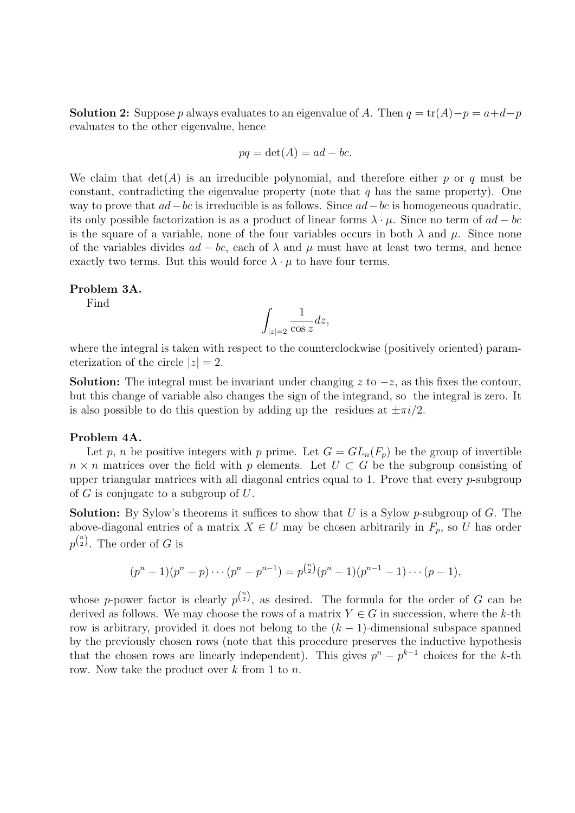**Solution 2:** Suppose p always evaluates to an eigenvalue of A. Then  $q = \text{tr}(A) - p = a+d-p$ evaluates to the other eigenvalue, hence

$$
pq = \det(A) = ad - bc.
$$

We claim that  $det(A)$  is an irreducible polynomial, and therefore either p or q must be constant, contradicting the eigenvalue property (note that  $q$  has the same property). One way to prove that  $ad-bc$  is irreducible is as follows. Since  $ad-bc$  is homogeneous quadratic, its only possible factorization is as a product of linear forms  $\lambda \cdot \mu$ . Since no term of  $ad - bc$ is the square of a variable, none of the four variables occurs in both  $\lambda$  and  $\mu$ . Since none of the variables divides  $ad - bc$ , each of  $\lambda$  and  $\mu$  must have at least two terms, and hence exactly two terms. But this would force  $\lambda \cdot \mu$  to have four terms.

### Problem 3A.

Find

$$
\int_{|z|=2} \frac{1}{\cos z} dz,
$$

where the integral is taken with respect to the counterclockwise (positively oriented) parameterization of the circle  $|z|=2$ .

**Solution:** The integral must be invariant under changing z to  $-z$ , as this fixes the contour, but this change of variable also changes the sign of the integrand, so the integral is zero. It is also possible to do this question by adding up the residues at  $\pm \pi i/2$ .

### Problem 4A.

Let p, n be positive integers with p prime. Let  $G = GL_n(F_p)$  be the group of invertible  $n \times n$  matrices over the field with p elements. Let  $U \subset G$  be the subgroup consisting of upper triangular matrices with all diagonal entries equal to 1. Prove that every p-subgroup of  $G$  is conjugate to a subgroup of  $U$ .

**Solution:** By Sylow's theorems it suffices to show that  $U$  is a Sylow p-subgroup of  $G$ . The above-diagonal entries of a matrix  $X \in U$  may be chosen arbitrarily in  $F_p$ , so U has order  $p^{\binom{n}{2}}$ . The order of G is

$$
(p^{n}-1)(p^{n}-p)\cdots(p^{n}-p^{n-1})=p^{\binom{n}{2}}(p^{n}-1)(p^{n-1}-1)\cdots(p-1),
$$

whose p-power factor is clearly  $p^{n \choose 2}$ , as desired. The formula for the order of G can be derived as follows. We may choose the rows of a matrix  $Y \in G$  in succession, where the k-th row is arbitrary, provided it does not belong to the  $(k-1)$ -dimensional subspace spanned by the previously chosen rows (note that this procedure preserves the inductive hypothesis that the chosen rows are linearly independent). This gives  $p^{n} - p^{k-1}$  choices for the k-th row. Now take the product over  $k$  from 1 to  $n$ .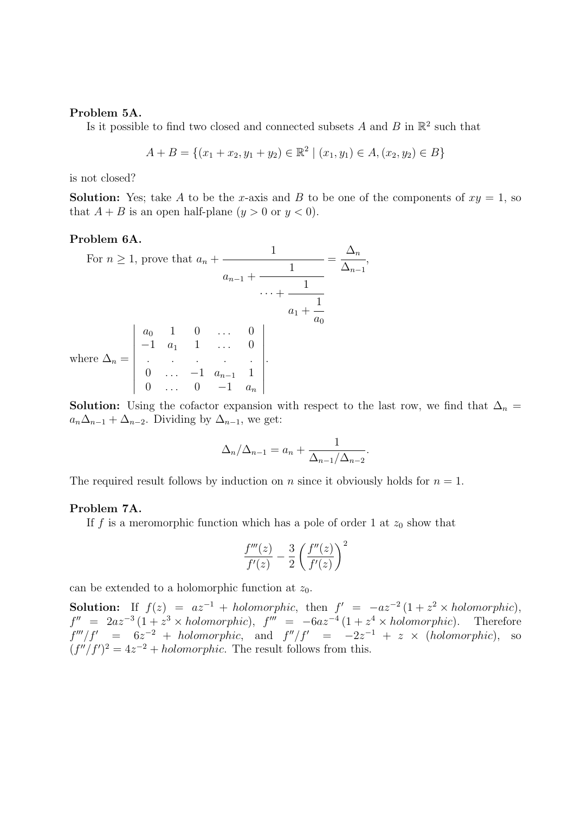#### Problem 5A.

Is it possible to find two closed and connected subsets A and B in  $\mathbb{R}^2$  such that

$$
A + B = \{(x_1 + x_2, y_1 + y_2) \in \mathbb{R}^2 \mid (x_1, y_1) \in A, (x_2, y_2) \in B\}
$$

is not closed?

**Solution:** Yes; take A to be the x-axis and B to be one of the components of  $xy = 1$ , so that  $A + B$  is an open half-plane  $(y > 0$  or  $y < 0$ .

# Problem 6A.

For 
$$
n \ge 1
$$
, prove that  $a_n + \frac{1}{a_{n-1} + \frac{1}{\cdots + \frac{1}{a_0}}} = \frac{\Delta_n}{\Delta_{n-1}},$   
\n $\cdots + \frac{1}{a_1 + \frac{1}{a_0}}$   
\nwhere  $\Delta_n = \begin{vmatrix}\na_0 & 1 & 0 & \cdots & 0 \\
-1 & a_1 & 1 & \cdots & 0 \\
\vdots & \vdots & \ddots & \vdots & \vdots \\
0 & \cdots & -1 & a_{n-1} & 1 \\
0 & \cdots & 0 & -1 & a_n\n\end{vmatrix}$ .

**Solution:** Using the cofactor expansion with respect to the last row, we find that  $\Delta_n =$  $a_n\Delta_{n-1} + \Delta_{n-2}$ . Dividing by  $\Delta_{n-1}$ , we get:

$$
\Delta_n/\Delta_{n-1} = a_n + \frac{1}{\Delta_{n-1}/\Delta_{n-2}}.
$$

The required result follows by induction on n since it obviously holds for  $n = 1$ .

#### Problem 7A.

If f is a meromorphic function which has a pole of order 1 at  $z_0$  show that

$$
\frac{f'''(z)}{f'(z)} - \frac{3}{2} \left( \frac{f''(z)}{f'(z)} \right)^2
$$

can be extended to a holomorphic function at  $z_0$ .

**Solution:** If  $f(z) = az^{-1} + holomorphic$ , then  $f' = -az^{-2}(1 + z^2 \times holomorphic)$ ,  $f'' = 2az^{-3}(1 + z^3 \times holomorphic),$   $f''' = -6az^{-4}(1 + z^4 \times holomorphic).$  Therefore  $f'''/f' = 6z^{-2} + holomorphic$ , and  $f''/f' = -2z^{-1} + z \times (holomorphic)$ , so  $(f''/f')^2 = 4z^{-2} + holomorphic$ . The result follows from this.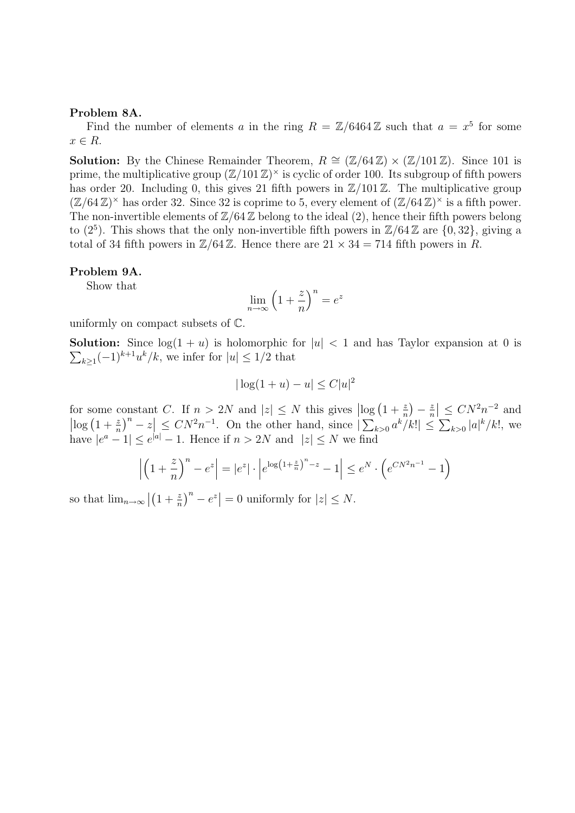### Problem 8A.

Find the number of elements a in the ring  $R = \mathbb{Z}/6464\mathbb{Z}$  such that  $a = x^5$  for some  $x \in R$ .

**Solution:** By the Chinese Remainder Theorem,  $R \cong (\mathbb{Z}/64\mathbb{Z}) \times (\mathbb{Z}/101\mathbb{Z})$ . Since 101 is prime, the multiplicative group  $(\mathbb{Z}/101\mathbb{Z})^{\times}$  is cyclic of order 100. Its subgroup of fifth powers has order 20. Including 0, this gives 21 fifth powers in  $\mathbb{Z}/101\mathbb{Z}$ . The multiplicative group  $(\mathbb{Z}/64\mathbb{Z})^{\times}$  has order 32. Since 32 is coprime to 5, every element of  $(\mathbb{Z}/64\mathbb{Z})^{\times}$  is a fifth power. The non-invertible elements of  $\mathbb{Z}/64\mathbb{Z}$  belong to the ideal (2), hence their fifth powers belong to  $(2^5)$ . This shows that the only non-invertible fifth powers in  $\mathbb{Z}/64\mathbb{Z}$  are  $\{0, 32\}$ , giving a total of 34 fifth powers in  $\mathbb{Z}/64\mathbb{Z}$ . Hence there are  $21 \times 34 = 714$  fifth powers in R.

#### Problem 9A.

Show that

$$
\lim_{n \to \infty} \left( 1 + \frac{z}{n} \right)^n = e^z
$$

uniformly on compact subsets of C.

**Solution:** Since  $log(1 + u)$  is holomorphic for  $|u| < 1$  and has Taylor expansion at 0 is  $\sum_{k\geq 1}(-1)^{k+1}u^{k}/k$ , we infer for  $|u|\leq 1/2$  that

$$
|\log(1+u) - u| \le C|u|^2
$$

for some constant C. If  $n > 2N$  and  $|z| \leq N$  this gives  $\left| \log \left(1 + \frac{z}{n}\right) - \frac{z}{n}\right|$  $\left|\frac{z}{n}\right| \leq CN^2n^{-2}$  and  $\left|\log\left(1+\frac{z}{n}\right)^n-z\right|\le CN^2n^{-1}$ . On the other hand, since  $\left|\sum_{k>0} a^k/k!\right| \le \sum_{k>0} |a|^k/k!$ , we have  $|e^a - 1| \le e^{|a|} - 1$ . Hence if  $n > 2N$  and  $|z| \le N$  we find

$$
\left| \left( 1 + \frac{z}{n} \right)^n - e^z \right| = |e^z| \cdot \left| e^{\log \left( 1 + \frac{z}{n} \right)^n - z} - 1 \right| \le e^N \cdot \left( e^{CN^2 n^{-1}} - 1 \right)
$$

so that  $\lim_{n\to\infty} \left| \left(1+\frac{z}{n}\right)^n - e^z \right| = 0$  uniformly for  $|z| \leq N$ .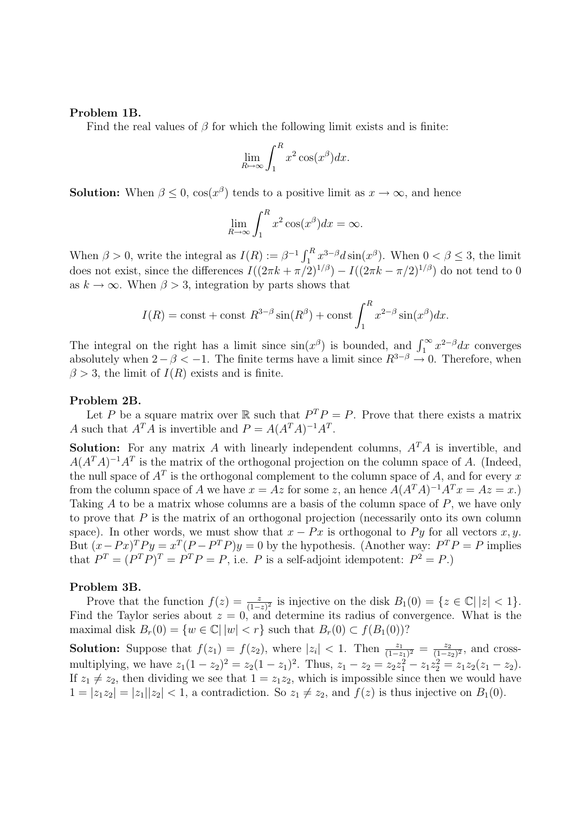### Problem 1B.

Find the real values of  $\beta$  for which the following limit exists and is finite:

$$
\lim_{R \to \infty} \int_1^R x^2 \cos(x^\beta) dx.
$$

**Solution:** When  $\beta \leq 0$ ,  $\cos(x^{\beta})$  tends to a positive limit as  $x \to \infty$ , and hence

$$
\lim_{R \to \infty} \int_1^R x^2 \cos(x^\beta) dx = \infty.
$$

When  $\beta > 0$ , write the integral as  $I(R) := \beta^{-1} \int_1^R x^{3-\beta} dx \sin(x^{\beta})$ . When  $0 < \beta \le 3$ , the limit does not exist, since the differences  $I((2\pi k + \pi/2)^{1/\beta}) - I((2\pi k - \pi/2)^{1/\beta})$  do not tend to 0 as  $k \to \infty$ . When  $\beta > 3$ , integration by parts shows that

$$
I(R) = \text{const} + \text{const } R^{3-\beta} \sin(R^{\beta}) + \text{const} \int_{1}^{R} x^{2-\beta} \sin(x^{\beta}) dx.
$$

The integral on the right has a limit since  $sin(x^{\beta})$  is bounded, and  $\int_1^{\infty} x^{2-\beta} dx$  converges absolutely when  $2-\beta < -1$ . The finite terms have a limit since  $R^{3-\beta} \to 0$ . Therefore, when  $\beta > 3$ , the limit of  $I(R)$  exists and is finite.

#### Problem 2B.

Let P be a square matrix over  $\mathbb R$  such that  $P^T P = P$ . Prove that there exists a matrix A such that  $A^T A$  is invertible and  $P = A(A^T A)^{-1} A^T$ .

**Solution:** For any matrix A with linearly independent columns,  $A<sup>T</sup>A$  is invertible, and  $A(A^T A)^{-1}A^T$  is the matrix of the orthogonal projection on the column space of A. (Indeed, the null space of  $A<sup>T</sup>$  is the orthogonal complement to the column space of A, and for every x from the column space of A we have  $x = Az$  for some z, an hence  $A(A^T A)^{-1} A^T x = Az = x$ . Taking A to be a matrix whose columns are a basis of the column space of  $P$ , we have only to prove that  $P$  is the matrix of an orthogonal projection (necessarily onto its own column space). In other words, we must show that  $x - Px$  is orthogonal to Py for all vectors x, y. But  $(x - Px)^T P y = x^T (P - P^T P) y = 0$  by the hypothesis. (Another way:  $P^T P = P$  implies that  $P^T = (P^T P)^T = P^T P = P$ , i.e. P is a self-adjoint idempotent:  $P^2 = P$ .)

#### Problem 3B.

Prove that the function  $f(z) = \frac{z}{(1-z)^2}$  is injective on the disk  $B_1(0) = \{z \in \mathbb{C} \mid |z| < 1\}.$ Find the Taylor series about  $z = 0$ , and determine its radius of convergence. What is the maximal disk  $B_r(0) = \{w \in \mathbb{C} \mid |w| < r\}$  such that  $B_r(0) \subset f(B_1(0))$ ?

**Solution:** Suppose that  $f(z_1) = f(z_2)$ , where  $|z_i| < 1$ . Then  $\frac{z_1}{(1-z_1)^2} = \frac{z_2}{(1-z_2)^2}$  $\frac{z_2}{(1-z_2)^2}$ , and crossmultiplying, we have  $z_1(1-z_2)^2 = z_2(1-z_1)^2$ . Thus,  $z_1 - z_2 = z_2z_1^2 - z_1z_2^2 = z_1z_2(z_1 - z_2)$ . If  $z_1 \neq z_2$ , then dividing we see that  $1 = z_1z_2$ , which is impossible since then we would have  $1 = |z_1z_2| = |z_1||z_2| < 1$ , a contradiction. So  $z_1 \neq z_2$ , and  $f(z)$  is thus injective on  $B_1(0)$ .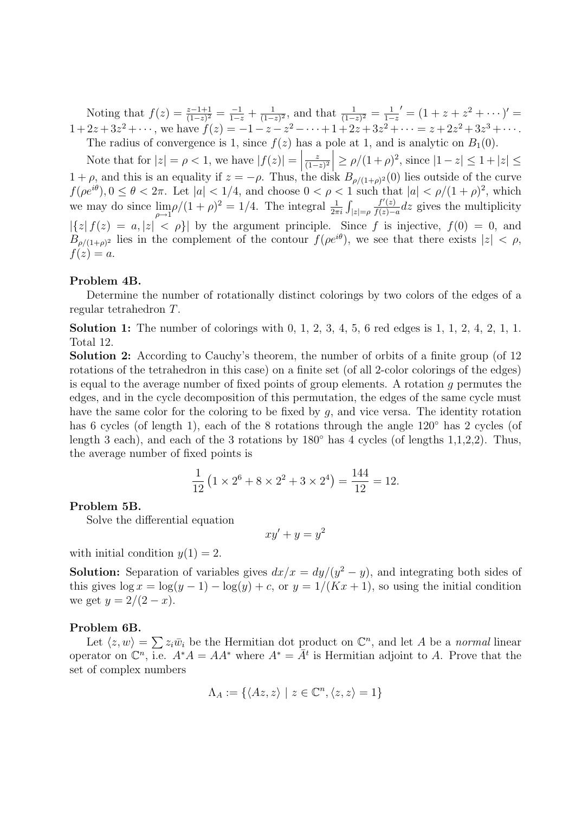Noting that  $f(z) = \frac{z-1+1}{(1-z)^2} = \frac{-1}{1-z} + \frac{1}{(1-z)^2}$  $\frac{1}{(1-z)^2}$ , and that  $\frac{1}{(1-z)^2} = \frac{1}{1-z}$  $\frac{1}{1-z}$ ' =  $(1+z+z^2+\cdots)'$  =  $1+2z+3z^2+\cdots$ , we have  $f(z) = -1-z-z^2-\cdots+1+2z+3z^2+\cdots = z+2z^2+3z^3+\cdots$ . The radius of convergence is 1, since  $f(z)$  has a pole at 1, and is analytic on  $B_1(0)$ .

Note that for  $|z| = \rho < 1$ , we have  $|f(z)| =$ z  $\left|\frac{z}{(1-z)^2}\right| \ge \rho/(1+\rho)^2$ , since  $|1-z| \le 1+|z| \le$  $1 + \rho$ , and this is an equality if  $z = -\rho$ . Thus, the disk  $B_{\rho/(1+\rho)^2}(0)$  lies outside of the curve  $f(\rho e^{i\theta}), 0 \leq \theta < 2\pi$ . Let  $|a| < 1/4$ , and choose  $0 < \rho < 1$  such that  $|a| < \rho/(1+\rho)^2$ , which we may do since  $\lim_{\rho \to 1} \rho/(1+\rho)^2 = 1/4$ . The integral  $\frac{1}{2\pi i} \int_{|z|=\rho}$  $f'(z)$  $\frac{f'(z)}{f(z)-a}$ dz gives the multiplicity  $|\{z|f(z) = a, |z| < \rho\}$  by the argument principle. Since f is injective,  $f(0) = 0$ , and  $B_{\rho/(1+\rho)^2}$  lies in the complement of the contour  $f(\rho e^{i\theta})$ , we see that there exists  $|z| < \rho$ ,  $f(z) = a$ .

### Problem 4B.

Determine the number of rotationally distinct colorings by two colors of the edges of a regular tetrahedron T.

**Solution 1:** The number of colorings with  $0, 1, 2, 3, 4, 5, 6$  red edges is  $1, 1, 2, 4, 2, 1, 1$ . Total 12.

Solution 2: According to Cauchy's theorem, the number of orbits of a finite group (of 12 rotations of the tetrahedron in this case) on a finite set (of all 2-color colorings of the edges) is equal to the average number of fixed points of group elements. A rotation g permutes the edges, and in the cycle decomposition of this permutation, the edges of the same cycle must have the same color for the coloring to be fixed by g, and vice versa. The identity rotation has 6 cycles (of length 1), each of the 8 rotations through the angle 120◦ has 2 cycles (of length 3 each), and each of the 3 rotations by  $180°$  has 4 cycles (of lengths 1,1,2,2). Thus, the average number of fixed points is

$$
\frac{1}{12} \left( 1 \times 2^6 + 8 \times 2^2 + 3 \times 2^4 \right) = \frac{144}{12} = 12.
$$

#### Problem 5B.

Solve the differential equation

 $xy' + y = y^2$ 

with initial condition  $y(1) = 2$ .

**Solution:** Separation of variables gives  $dx/x = dy/(y^2 - y)$ , and integrating both sides of this gives  $\log x = \log(y-1) - \log(y) + c$ , or  $y = 1/(Kx+1)$ , so using the initial condition we get  $y = 2/(2 - x)$ .

## Problem 6B.

Let  $\langle z, w \rangle = \sum z_i \overline{w}_i$  be the Hermitian dot product on  $\mathbb{C}^n$ , and let A be a normal linear operator on  $\mathbb{C}^n$ , i.e.  $A^*A = AA^*$  where  $A^* = \overline{A}^t$  is Hermitian adjoint to A. Prove that the set of complex numbers

$$
\Lambda_A := \{ \langle Az, z \rangle \mid z \in \mathbb{C}^n, \langle z, z \rangle = 1 \}
$$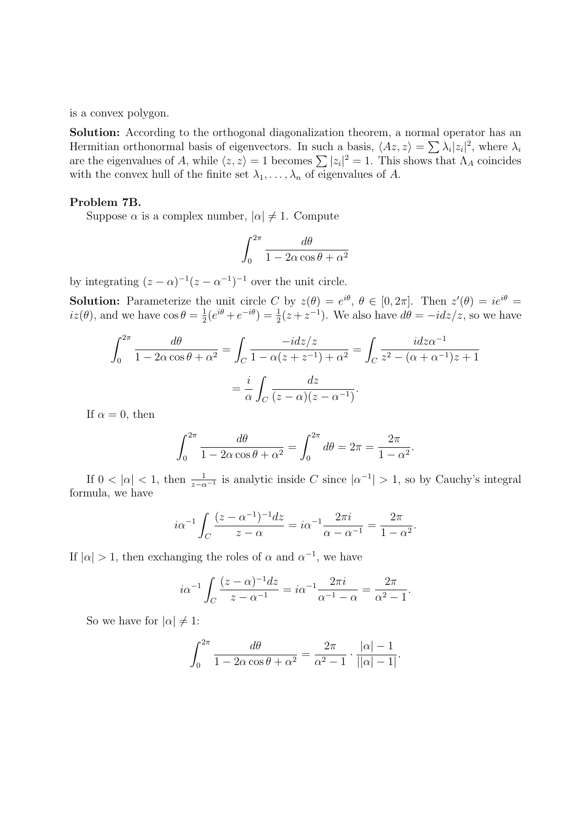is a convex polygon.

Solution: According to the orthogonal diagonalization theorem, a normal operator has an Hermitian orthonormal basis of eigenvectors. In such a basis,  $\langle Az, z \rangle = \sum \lambda_i |z_i|^2$ , where  $\lambda_i$ are the eigenvalues of A, while  $\langle z, z \rangle = 1$  becomes  $\sum |z_i|^2 = 1$ . This shows that  $\Lambda_A$  coincides with the convex hull of the finite set  $\lambda_1, \ldots, \lambda_n$  of eigenvalues of A.

### Problem 7B.

Suppose  $\alpha$  is a complex number,  $|\alpha| \neq 1$ . Compute

$$
\int_0^{2\pi} \frac{d\theta}{1 - 2\alpha \cos \theta + \alpha^2}
$$

by integrating  $(z - \alpha)^{-1}(z - \alpha^{-1})^{-1}$  over the unit circle.

**Solution:** Parameterize the unit circle C by  $z(\theta) = e^{i\theta}$ ,  $\theta \in [0, 2\pi]$ . Then  $z'(\theta) = ie^{i\theta} =$  $iz(\theta)$ , and we have  $\cos \theta = \frac{1}{2}$  $\frac{1}{2}(e^{i\theta}+e^{-i\theta})=\frac{1}{2}(z+z^{-1}).$  We also have  $d\theta=-idz/z$ , so we have

$$
\int_0^{2\pi} \frac{d\theta}{1 - 2\alpha \cos \theta + \alpha^2} = \int_C \frac{-i dz/z}{1 - \alpha(z + z^{-1}) + \alpha^2} = \int_C \frac{i dz \alpha^{-1}}{z^2 - (\alpha + \alpha^{-1})z + 1}
$$

$$
= \frac{i}{\alpha} \int_C \frac{dz}{(z - \alpha)(z - \alpha^{-1})}.
$$

If  $\alpha = 0$ , then

$$
\int_0^{2\pi} \frac{d\theta}{1 - 2\alpha \cos \theta + \alpha^2} = \int_0^{2\pi} d\theta = 2\pi = \frac{2\pi}{1 - \alpha^2}.
$$

If  $0 < |\alpha| < 1$ , then  $\frac{1}{z-\alpha^{-1}}$  is analytic inside C since  $|\alpha^{-1}| > 1$ , so by Cauchy's integral formula, we have

$$
i\alpha^{-1} \int_C \frac{(z - \alpha^{-1})^{-1} dz}{z - \alpha} = i\alpha^{-1} \frac{2\pi i}{\alpha - \alpha^{-1}} = \frac{2\pi}{1 - \alpha^2}.
$$

If  $|\alpha| > 1$ , then exchanging the roles of  $\alpha$  and  $\alpha^{-1}$ , we have

$$
i\alpha^{-1} \int_C \frac{(z-\alpha)^{-1}dz}{z-\alpha^{-1}} = i\alpha^{-1} \frac{2\pi i}{\alpha^{-1} - \alpha} = \frac{2\pi}{\alpha^2 - 1}.
$$

So we have for  $|\alpha| \neq 1$ :

$$
\int_0^{2\pi} \frac{d\theta}{1 - 2\alpha \cos \theta + \alpha^2} = \frac{2\pi}{\alpha^2 - 1} \cdot \frac{|\alpha| - 1}{||\alpha| - 1|}.
$$